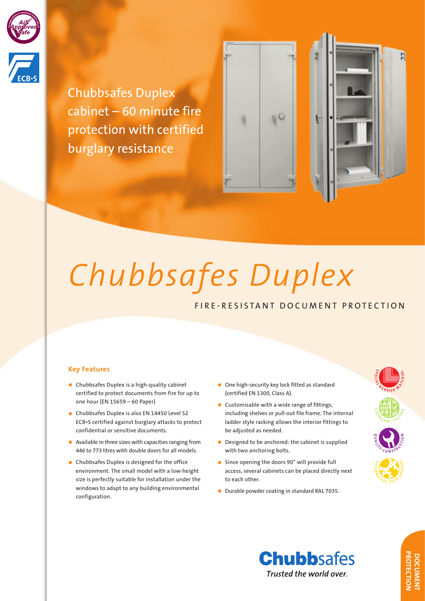

Chubbsafes Duplex cabinet – 60 minute fire protection with certified burglary resistance





# *Chubbsafes Duplex*

# FIRE-RESISTANT DOCUMENT PROTECTION

# **Key Features**

- Chubbsafes Duplex is a high-quality cabinet certified to protect documents from fire for up to one hour (EN 15659 – 60 Paper)
- Chubbsafes Duplex is also EN 14450 Level S2 ECB•S certified against burglary attacks to protect confidential or sensitive documents.
- Available in three sizes with capacities ranging from 446 to 773 litres with double doors for all models.
- Chubbsafes Duplex is designed for the office environment. The small model with a low-height size is perfectly suitable for installation under the windows to adapt to any building environmental configuration.
- One high-security key lock fitted as standard (certified EN 1300, Class A).
- Customisable with a wide range of fittings, including shelves or pull-out file frame. The internal ladder style racking allows the interior fittings to be adjusted as needed.
- Designed to be anchored: the cabinet is supplied with two anchoring bolts.
- Since opening the doors 90° will provide full access, several cabinets can be placed directly next to each other.
- Durable powder coating in standard RAL 7035.